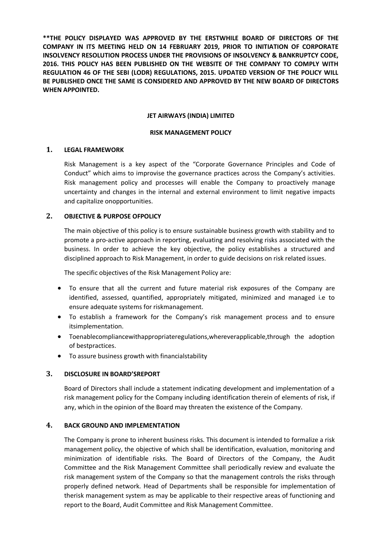**\*\*THE POLICY DISPLAYED WAS APPROVED BY THE ERSTWHILE BOARD OF DIRECTORS OF THE COMPANY IN ITS MEETING HELD ON 14 FEBRUARY 2019, PRIOR TO INITIATION OF CORPORATE INSOLVENCY RESOLUTION PROCESS UNDER THE PROVISIONS OF INSOLVENCY & BANKRUPTCY CODE, 2016. THIS POLICY HAS BEEN PUBLISHED ON THE WEBSITE OF THE COMPANY TO COMPLY WITH REGULATION 46 OF THE SEBI (LODR) REGULATIONS, 2015. UPDATED VERSION OF THE POLICY WILL BE PUBLISHED ONCE THE SAME IS CONSIDERED AND APPROVED BY THE NEW BOARD OF DIRECTORS WHEN APPOINTED.**

#### **JET AIRWAYS (INDIA) LIMITED**

### **RISK MANAGEMENT POLICY**

### **1. LEGAL FRAMEWORK**

Risk Management is a key aspect of the "Corporate Governance Principles and Code of Conduct" which aims to improvise the governance practices across the Company's activities. Risk management policy and processes will enable the Company to proactively manage uncertainty and changes in the internal and external environment to limit negative impacts and capitalize onopportunities.

### **2. OBJECTIVE & PURPOSE OFPOLICY**

The main objective of this policy is to ensure sustainable business growth with stability and to promote a pro-active approach in reporting, evaluating and resolving risks associated with the business. In order to achieve the key objective, the policy establishes a structured and disciplined approach to Risk Management, in order to guide decisions on risk related issues.

The specific objectives of the Risk Management Policy are:

- To ensure that all the current and future material risk exposures of the Company are identified, assessed, quantified, appropriately mitigated, minimized and managed i.e to ensure adequate systems for riskmanagement.
- To establish a framework for the Company's risk management process and to ensure itsimplementation.
- Toenablecompliancewithappropriateregulations,whereverapplicable,through the adoption of bestpractices.
- To assure business growth with financialstability

#### **3. DISCLOSURE IN BOARD'SREPORT**

Board of Directors shall include a statement indicating development and implementation of a risk management policy for the Company including identification therein of elements of risk, if any, which in the opinion of the Board may threaten the existence of the Company.

### **4. BACK GROUND AND IMPLEMENTATION**

The Company is prone to inherent business risks. This document is intended to formalize a risk management policy, the objective of which shall be identification, evaluation, monitoring and minimization of identifiable risks. The Board of Directors of the Company, the Audit Committee and the Risk Management Committee shall periodically review and evaluate the risk management system of the Company so that the management controls the risks through properly defined network. Head of Departments shall be responsible for implementation of therisk management system as may be applicable to their respective areas of functioning and report to the Board, Audit Committee and Risk Management Committee.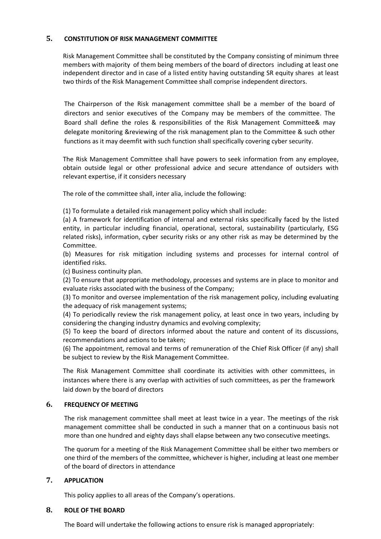## **5. CONSTITUTION OF RISK MANAGEMENT COMMITTEE**

Risk Management Committee shall be constituted by the Company consisting of minimum three members with majority of them being members of the board of directors including at least one independent director and in case of a listed entity having outstanding SR equity shares at least two thirds of the Risk Management Committee shall comprise independent directors.

The Chairperson of the Risk management committee shall be a member of the board of directors and senior executives of the Company may be members of the committee. The Board shall define the roles & responsibilities of the Risk Management Committee& may delegate monitoring &reviewing of the risk management plan to the Committee & such other functions as it may deemfit with such function shall specifically covering cyber security.

The Risk Management Committee shall have powers to seek information from any employee, obtain outside legal or other professional advice and secure attendance of outsiders with relevant expertise, if it considers necessary

The role of the committee shall, inter alia, include the following:

(1) To formulate a detailed risk management policy which shall include:

(a) A framework for identification of internal and external risks specifically faced by the listed entity, in particular including financial, operational, sectoral, sustainability (particularly, ESG related risks), information, cyber security risks or any other risk as may be determined by the Committee.

(b) Measures for risk mitigation including systems and processes for internal control of identified risks.

(c) Business continuity plan.

(2) To ensure that appropriate methodology, processes and systems are in place to monitor and evaluate risks associated with the business of the Company;

(3) To monitor and oversee implementation of the risk management policy, including evaluating the adequacy of risk management systems;

(4) To periodically review the risk management policy, at least once in two years, including by considering the changing industry dynamics and evolving complexity;

(5) To keep the board of directors informed about the nature and content of its discussions, recommendations and actions to be taken;

(6) The appointment, removal and terms of remuneration of the Chief Risk Officer (if any) shall be subject to review by the Risk Management Committee.

The Risk Management Committee shall coordinate its activities with other committees, in instances where there is any overlap with activities of such committees, as per the framework laid down by the board of directors

## **6. FREQUENCY OF MEETING**

The risk management committee shall meet at least twice in a year. The meetings of the risk management committee shall be conducted in such a manner that on a continuous basis not more than one hundred and eighty days shall elapse between any two consecutive meetings.

The quorum for a meeting of the Risk Management Committee shall be either two members or one third of the members of the committee, whichever is higher, including at least one member of the board of directors in attendance

## **7. APPLICATION**

This policy applies to all areas of the Company's operations.

#### **8. ROLE OF THE BOARD**

The Board will undertake the following actions to ensure risk is managed appropriately: